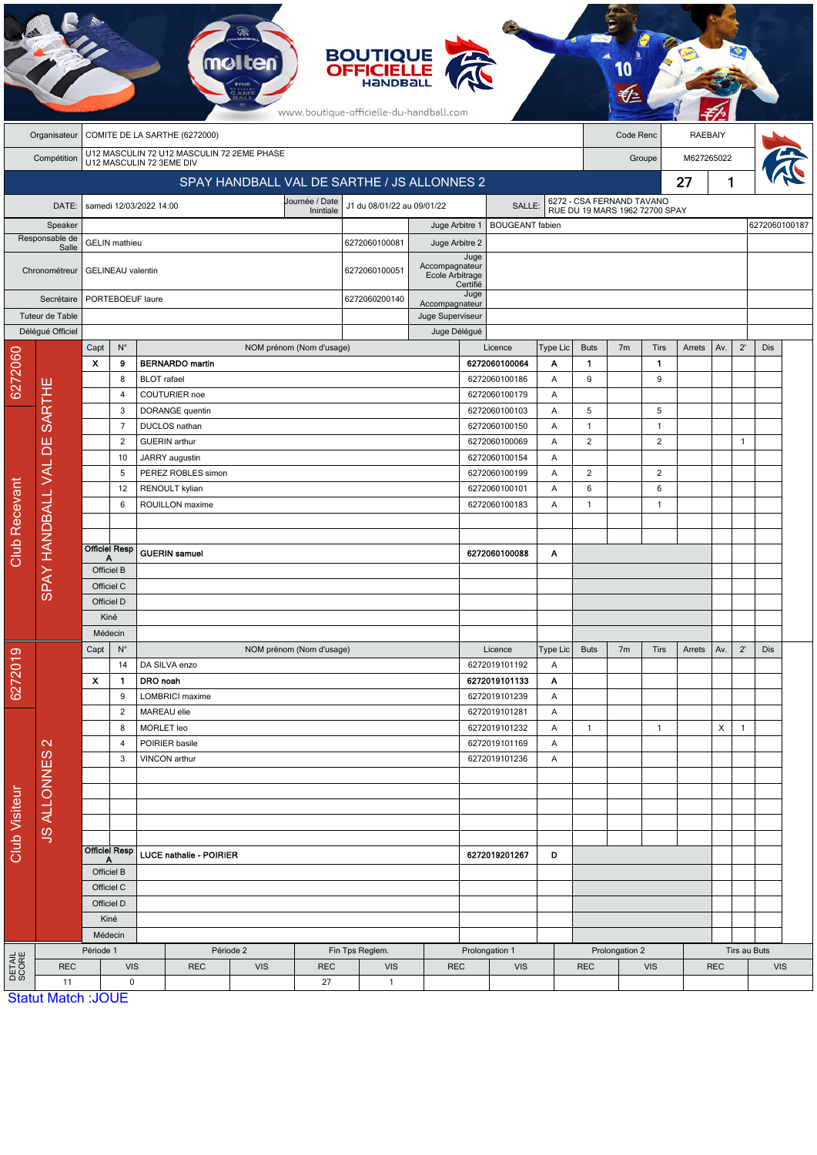| COMITE DE LA SARTHE (6272000)<br>Code Renc<br>RAEBAIY<br>Organisateur<br>U12 MASCULIN 72 U12 MASCULIN 72 2EME PHASE<br>M627265022<br>Compétition<br>Groupe<br>U12 MASCULIN 72 3EME DIV<br>1<br>SPAY HANDBALL VAL DE SARTHE / JS ALLONNES 2<br>27<br>6272 - CSA FERNAND TAVANO<br>RUE DU 19 MARS 1962 72700 SPAY<br>Journée / Date<br>J1 du 08/01/22 au 09/01/22<br>DATE:<br>samedi 12/03/2022 14:00<br><b>SALLE</b><br>Inintiale<br><b>BOUGEANT</b> fabien<br>Speaker<br>Juge Arbitre 1<br>Responsable de<br><b>GELIN</b> mathieu<br>6272060100081<br>Juge Arbitre 2<br>Salle<br>Juge<br>Accompagnateur<br><b>GELINEAU</b> valentin<br>6272060100051<br>Chronométreur<br>Ecole Arbitrage<br>Certifié<br>Juge<br>Secrétaire<br>PORTEBOEUF laure<br>6272060200140<br>Accompagnateur<br>Tuteur de Table<br>Juge Superviseur<br>Déléqué Officiel<br>Juge Délégué<br>$2^{\prime}$<br>$N^{\circ}$<br>Licence<br><b>Buts</b><br>7 <sub>m</sub><br>Tirs<br>Dis<br>Capt<br>NOM prénom (Nom d'usage)<br>Type Lic<br>Arrets<br>Av.<br>6272060<br>x<br>9<br><b>BERNARDO</b> martin<br>6272060100064<br>$\mathbf{1}$<br>Α<br>$\mathbf{1}$<br>9<br>8<br><b>BLOT</b> rafael<br>6272060100186<br>Α<br>9<br><b>SARTHE</b><br>COUTURIER noe<br>6272060100179<br>$\overline{4}$<br>Α<br>DORANGE quentin<br>5<br>3<br>6272060100103<br>Α<br>5<br>$\overline{7}$<br><b>DUCLOS</b> nathan<br>6272060100150<br>Α<br>$\mathbf{1}$<br>$\overline{1}$<br>ш<br><b>GUERIN</b> arthur<br>$\overline{2}$<br>2<br>2<br>6272060100069<br>A<br>$\mathbf{1}$<br>ᅙ<br>JARRY augustin<br>6272060100154<br>10<br>Α<br>SPAY HANDBALL VAL<br>$\overline{\mathbf{c}}$<br>PEREZ ROBLES simon<br>$\overline{c}$<br>5<br>6272060100199<br>Α<br>Club Recevant<br>RENOULT kylian<br>6272060100101<br>6<br>6<br>12<br>A<br>ROUILLON maxime<br>6272060100183<br>$\mathbf{1}$<br>$\overline{1}$<br>6<br>A<br><b>Officiel Resp</b><br><b>GUERIN</b> samuel<br>6272060100088<br>A<br>А<br>Officiel B<br>Officiel C<br>Officiel D<br>Kiné<br>Médecin<br>$2^{\prime}$<br>Capt<br>$N^{\circ}$<br>Dis<br>NOM prénom (Nom d'usage)<br>Type Lic<br><b>Buts</b><br>7 <sub>m</sub><br>Tirs<br>Av.<br>Licence<br>Arrets<br>စ<br>627201<br>14<br>DA SILVA enzo<br>6272019101192<br>Α<br>X<br>6272019101133<br>DRO noah<br>$\mathbf{1}$<br>Α<br>9<br>LOMBRICI maxime<br>6272019101239<br>A<br>$\overline{c}$<br>MAREAU elie<br>6272019101281<br>Α<br>MORLET leo<br>6272019101232<br>Χ<br>8<br>Α<br>$\mathbf{1}$<br>$\mathbf{1}$<br>$\mathbf{1}$<br>$\mathbf{\Omega}$<br>POIRIER basile<br>6272019101169<br>Α<br>4<br><b>JS ALLONNES</b><br>3<br>VINCON arthur<br>6272019101236<br>Α<br>Club Visiteur<br>Officiel Resp<br>LUCE nathalie - POIRIER<br>6272019201267<br>D<br>Α<br>Officiel B<br>Officiel C<br>Officiel D<br>Kiné<br>Médecin<br>Période 1<br>Période 2<br>Prolongation 1<br>Prolongation 2<br>Tirs au Buts<br>Fin Tps Reglem.<br>DETAIL<br>SCORE<br><b>VIS</b><br><b>REC</b><br><b>REC</b><br><b>VIS</b><br><b>REC</b><br><b>VIS</b><br><b>REC</b><br><b>VIS</b><br><b>REC</b><br><b>VIS</b><br><b>REC</b><br><b>VIS</b><br>11<br>$\mathbf 0$<br>27<br>$\mathbf{1}$<br><b>Statut Match: JOUE</b> |  |  |  |  |  |  |  |  | <b>BOUTIQUE<br/>OFFICIELLE</b><br>www.boutique-officielle-du-handball.com |  |  |  |  |  |  |  |  |               |  |  |  |
|-------------------------------------------------------------------------------------------------------------------------------------------------------------------------------------------------------------------------------------------------------------------------------------------------------------------------------------------------------------------------------------------------------------------------------------------------------------------------------------------------------------------------------------------------------------------------------------------------------------------------------------------------------------------------------------------------------------------------------------------------------------------------------------------------------------------------------------------------------------------------------------------------------------------------------------------------------------------------------------------------------------------------------------------------------------------------------------------------------------------------------------------------------------------------------------------------------------------------------------------------------------------------------------------------------------------------------------------------------------------------------------------------------------------------------------------------------------------------------------------------------------------------------------------------------------------------------------------------------------------------------------------------------------------------------------------------------------------------------------------------------------------------------------------------------------------------------------------------------------------------------------------------------------------------------------------------------------------------------------------------------------------------------------------------------------------------------------------------------------------------------------------------------------------------------------------------------------------------------------------------------------------------------------------------------------------------------------------------------------------------------------------------------------------------------------------------------------------------------------------------------------------------------------------------------------------------------------------------------------------------------------------------------------------------------------------------------------------------------------------------------------------------------------------------------------------------------------------------------------------------------------------------------------------------------------------------------------------------------------------------------------------------------------------------------------------------------------------------------------------------------------------------|--|--|--|--|--|--|--|--|---------------------------------------------------------------------------|--|--|--|--|--|--|--|--|---------------|--|--|--|
|                                                                                                                                                                                                                                                                                                                                                                                                                                                                                                                                                                                                                                                                                                                                                                                                                                                                                                                                                                                                                                                                                                                                                                                                                                                                                                                                                                                                                                                                                                                                                                                                                                                                                                                                                                                                                                                                                                                                                                                                                                                                                                                                                                                                                                                                                                                                                                                                                                                                                                                                                                                                                                                                                                                                                                                                                                                                                                                                                                                                                                                                                                                                                 |  |  |  |  |  |  |  |  |                                                                           |  |  |  |  |  |  |  |  |               |  |  |  |
|                                                                                                                                                                                                                                                                                                                                                                                                                                                                                                                                                                                                                                                                                                                                                                                                                                                                                                                                                                                                                                                                                                                                                                                                                                                                                                                                                                                                                                                                                                                                                                                                                                                                                                                                                                                                                                                                                                                                                                                                                                                                                                                                                                                                                                                                                                                                                                                                                                                                                                                                                                                                                                                                                                                                                                                                                                                                                                                                                                                                                                                                                                                                                 |  |  |  |  |  |  |  |  |                                                                           |  |  |  |  |  |  |  |  |               |  |  |  |
|                                                                                                                                                                                                                                                                                                                                                                                                                                                                                                                                                                                                                                                                                                                                                                                                                                                                                                                                                                                                                                                                                                                                                                                                                                                                                                                                                                                                                                                                                                                                                                                                                                                                                                                                                                                                                                                                                                                                                                                                                                                                                                                                                                                                                                                                                                                                                                                                                                                                                                                                                                                                                                                                                                                                                                                                                                                                                                                                                                                                                                                                                                                                                 |  |  |  |  |  |  |  |  |                                                                           |  |  |  |  |  |  |  |  |               |  |  |  |
|                                                                                                                                                                                                                                                                                                                                                                                                                                                                                                                                                                                                                                                                                                                                                                                                                                                                                                                                                                                                                                                                                                                                                                                                                                                                                                                                                                                                                                                                                                                                                                                                                                                                                                                                                                                                                                                                                                                                                                                                                                                                                                                                                                                                                                                                                                                                                                                                                                                                                                                                                                                                                                                                                                                                                                                                                                                                                                                                                                                                                                                                                                                                                 |  |  |  |  |  |  |  |  |                                                                           |  |  |  |  |  |  |  |  |               |  |  |  |
|                                                                                                                                                                                                                                                                                                                                                                                                                                                                                                                                                                                                                                                                                                                                                                                                                                                                                                                                                                                                                                                                                                                                                                                                                                                                                                                                                                                                                                                                                                                                                                                                                                                                                                                                                                                                                                                                                                                                                                                                                                                                                                                                                                                                                                                                                                                                                                                                                                                                                                                                                                                                                                                                                                                                                                                                                                                                                                                                                                                                                                                                                                                                                 |  |  |  |  |  |  |  |  |                                                                           |  |  |  |  |  |  |  |  |               |  |  |  |
|                                                                                                                                                                                                                                                                                                                                                                                                                                                                                                                                                                                                                                                                                                                                                                                                                                                                                                                                                                                                                                                                                                                                                                                                                                                                                                                                                                                                                                                                                                                                                                                                                                                                                                                                                                                                                                                                                                                                                                                                                                                                                                                                                                                                                                                                                                                                                                                                                                                                                                                                                                                                                                                                                                                                                                                                                                                                                                                                                                                                                                                                                                                                                 |  |  |  |  |  |  |  |  |                                                                           |  |  |  |  |  |  |  |  | 6272060100187 |  |  |  |
|                                                                                                                                                                                                                                                                                                                                                                                                                                                                                                                                                                                                                                                                                                                                                                                                                                                                                                                                                                                                                                                                                                                                                                                                                                                                                                                                                                                                                                                                                                                                                                                                                                                                                                                                                                                                                                                                                                                                                                                                                                                                                                                                                                                                                                                                                                                                                                                                                                                                                                                                                                                                                                                                                                                                                                                                                                                                                                                                                                                                                                                                                                                                                 |  |  |  |  |  |  |  |  |                                                                           |  |  |  |  |  |  |  |  |               |  |  |  |
|                                                                                                                                                                                                                                                                                                                                                                                                                                                                                                                                                                                                                                                                                                                                                                                                                                                                                                                                                                                                                                                                                                                                                                                                                                                                                                                                                                                                                                                                                                                                                                                                                                                                                                                                                                                                                                                                                                                                                                                                                                                                                                                                                                                                                                                                                                                                                                                                                                                                                                                                                                                                                                                                                                                                                                                                                                                                                                                                                                                                                                                                                                                                                 |  |  |  |  |  |  |  |  |                                                                           |  |  |  |  |  |  |  |  |               |  |  |  |
|                                                                                                                                                                                                                                                                                                                                                                                                                                                                                                                                                                                                                                                                                                                                                                                                                                                                                                                                                                                                                                                                                                                                                                                                                                                                                                                                                                                                                                                                                                                                                                                                                                                                                                                                                                                                                                                                                                                                                                                                                                                                                                                                                                                                                                                                                                                                                                                                                                                                                                                                                                                                                                                                                                                                                                                                                                                                                                                                                                                                                                                                                                                                                 |  |  |  |  |  |  |  |  |                                                                           |  |  |  |  |  |  |  |  |               |  |  |  |
|                                                                                                                                                                                                                                                                                                                                                                                                                                                                                                                                                                                                                                                                                                                                                                                                                                                                                                                                                                                                                                                                                                                                                                                                                                                                                                                                                                                                                                                                                                                                                                                                                                                                                                                                                                                                                                                                                                                                                                                                                                                                                                                                                                                                                                                                                                                                                                                                                                                                                                                                                                                                                                                                                                                                                                                                                                                                                                                                                                                                                                                                                                                                                 |  |  |  |  |  |  |  |  |                                                                           |  |  |  |  |  |  |  |  |               |  |  |  |
|                                                                                                                                                                                                                                                                                                                                                                                                                                                                                                                                                                                                                                                                                                                                                                                                                                                                                                                                                                                                                                                                                                                                                                                                                                                                                                                                                                                                                                                                                                                                                                                                                                                                                                                                                                                                                                                                                                                                                                                                                                                                                                                                                                                                                                                                                                                                                                                                                                                                                                                                                                                                                                                                                                                                                                                                                                                                                                                                                                                                                                                                                                                                                 |  |  |  |  |  |  |  |  |                                                                           |  |  |  |  |  |  |  |  |               |  |  |  |
|                                                                                                                                                                                                                                                                                                                                                                                                                                                                                                                                                                                                                                                                                                                                                                                                                                                                                                                                                                                                                                                                                                                                                                                                                                                                                                                                                                                                                                                                                                                                                                                                                                                                                                                                                                                                                                                                                                                                                                                                                                                                                                                                                                                                                                                                                                                                                                                                                                                                                                                                                                                                                                                                                                                                                                                                                                                                                                                                                                                                                                                                                                                                                 |  |  |  |  |  |  |  |  |                                                                           |  |  |  |  |  |  |  |  |               |  |  |  |
|                                                                                                                                                                                                                                                                                                                                                                                                                                                                                                                                                                                                                                                                                                                                                                                                                                                                                                                                                                                                                                                                                                                                                                                                                                                                                                                                                                                                                                                                                                                                                                                                                                                                                                                                                                                                                                                                                                                                                                                                                                                                                                                                                                                                                                                                                                                                                                                                                                                                                                                                                                                                                                                                                                                                                                                                                                                                                                                                                                                                                                                                                                                                                 |  |  |  |  |  |  |  |  |                                                                           |  |  |  |  |  |  |  |  |               |  |  |  |
|                                                                                                                                                                                                                                                                                                                                                                                                                                                                                                                                                                                                                                                                                                                                                                                                                                                                                                                                                                                                                                                                                                                                                                                                                                                                                                                                                                                                                                                                                                                                                                                                                                                                                                                                                                                                                                                                                                                                                                                                                                                                                                                                                                                                                                                                                                                                                                                                                                                                                                                                                                                                                                                                                                                                                                                                                                                                                                                                                                                                                                                                                                                                                 |  |  |  |  |  |  |  |  |                                                                           |  |  |  |  |  |  |  |  |               |  |  |  |
|                                                                                                                                                                                                                                                                                                                                                                                                                                                                                                                                                                                                                                                                                                                                                                                                                                                                                                                                                                                                                                                                                                                                                                                                                                                                                                                                                                                                                                                                                                                                                                                                                                                                                                                                                                                                                                                                                                                                                                                                                                                                                                                                                                                                                                                                                                                                                                                                                                                                                                                                                                                                                                                                                                                                                                                                                                                                                                                                                                                                                                                                                                                                                 |  |  |  |  |  |  |  |  |                                                                           |  |  |  |  |  |  |  |  |               |  |  |  |
|                                                                                                                                                                                                                                                                                                                                                                                                                                                                                                                                                                                                                                                                                                                                                                                                                                                                                                                                                                                                                                                                                                                                                                                                                                                                                                                                                                                                                                                                                                                                                                                                                                                                                                                                                                                                                                                                                                                                                                                                                                                                                                                                                                                                                                                                                                                                                                                                                                                                                                                                                                                                                                                                                                                                                                                                                                                                                                                                                                                                                                                                                                                                                 |  |  |  |  |  |  |  |  |                                                                           |  |  |  |  |  |  |  |  |               |  |  |  |
|                                                                                                                                                                                                                                                                                                                                                                                                                                                                                                                                                                                                                                                                                                                                                                                                                                                                                                                                                                                                                                                                                                                                                                                                                                                                                                                                                                                                                                                                                                                                                                                                                                                                                                                                                                                                                                                                                                                                                                                                                                                                                                                                                                                                                                                                                                                                                                                                                                                                                                                                                                                                                                                                                                                                                                                                                                                                                                                                                                                                                                                                                                                                                 |  |  |  |  |  |  |  |  |                                                                           |  |  |  |  |  |  |  |  |               |  |  |  |
|                                                                                                                                                                                                                                                                                                                                                                                                                                                                                                                                                                                                                                                                                                                                                                                                                                                                                                                                                                                                                                                                                                                                                                                                                                                                                                                                                                                                                                                                                                                                                                                                                                                                                                                                                                                                                                                                                                                                                                                                                                                                                                                                                                                                                                                                                                                                                                                                                                                                                                                                                                                                                                                                                                                                                                                                                                                                                                                                                                                                                                                                                                                                                 |  |  |  |  |  |  |  |  |                                                                           |  |  |  |  |  |  |  |  |               |  |  |  |
|                                                                                                                                                                                                                                                                                                                                                                                                                                                                                                                                                                                                                                                                                                                                                                                                                                                                                                                                                                                                                                                                                                                                                                                                                                                                                                                                                                                                                                                                                                                                                                                                                                                                                                                                                                                                                                                                                                                                                                                                                                                                                                                                                                                                                                                                                                                                                                                                                                                                                                                                                                                                                                                                                                                                                                                                                                                                                                                                                                                                                                                                                                                                                 |  |  |  |  |  |  |  |  |                                                                           |  |  |  |  |  |  |  |  |               |  |  |  |
|                                                                                                                                                                                                                                                                                                                                                                                                                                                                                                                                                                                                                                                                                                                                                                                                                                                                                                                                                                                                                                                                                                                                                                                                                                                                                                                                                                                                                                                                                                                                                                                                                                                                                                                                                                                                                                                                                                                                                                                                                                                                                                                                                                                                                                                                                                                                                                                                                                                                                                                                                                                                                                                                                                                                                                                                                                                                                                                                                                                                                                                                                                                                                 |  |  |  |  |  |  |  |  |                                                                           |  |  |  |  |  |  |  |  |               |  |  |  |
|                                                                                                                                                                                                                                                                                                                                                                                                                                                                                                                                                                                                                                                                                                                                                                                                                                                                                                                                                                                                                                                                                                                                                                                                                                                                                                                                                                                                                                                                                                                                                                                                                                                                                                                                                                                                                                                                                                                                                                                                                                                                                                                                                                                                                                                                                                                                                                                                                                                                                                                                                                                                                                                                                                                                                                                                                                                                                                                                                                                                                                                                                                                                                 |  |  |  |  |  |  |  |  |                                                                           |  |  |  |  |  |  |  |  |               |  |  |  |
|                                                                                                                                                                                                                                                                                                                                                                                                                                                                                                                                                                                                                                                                                                                                                                                                                                                                                                                                                                                                                                                                                                                                                                                                                                                                                                                                                                                                                                                                                                                                                                                                                                                                                                                                                                                                                                                                                                                                                                                                                                                                                                                                                                                                                                                                                                                                                                                                                                                                                                                                                                                                                                                                                                                                                                                                                                                                                                                                                                                                                                                                                                                                                 |  |  |  |  |  |  |  |  |                                                                           |  |  |  |  |  |  |  |  |               |  |  |  |
|                                                                                                                                                                                                                                                                                                                                                                                                                                                                                                                                                                                                                                                                                                                                                                                                                                                                                                                                                                                                                                                                                                                                                                                                                                                                                                                                                                                                                                                                                                                                                                                                                                                                                                                                                                                                                                                                                                                                                                                                                                                                                                                                                                                                                                                                                                                                                                                                                                                                                                                                                                                                                                                                                                                                                                                                                                                                                                                                                                                                                                                                                                                                                 |  |  |  |  |  |  |  |  |                                                                           |  |  |  |  |  |  |  |  |               |  |  |  |
|                                                                                                                                                                                                                                                                                                                                                                                                                                                                                                                                                                                                                                                                                                                                                                                                                                                                                                                                                                                                                                                                                                                                                                                                                                                                                                                                                                                                                                                                                                                                                                                                                                                                                                                                                                                                                                                                                                                                                                                                                                                                                                                                                                                                                                                                                                                                                                                                                                                                                                                                                                                                                                                                                                                                                                                                                                                                                                                                                                                                                                                                                                                                                 |  |  |  |  |  |  |  |  |                                                                           |  |  |  |  |  |  |  |  |               |  |  |  |
|                                                                                                                                                                                                                                                                                                                                                                                                                                                                                                                                                                                                                                                                                                                                                                                                                                                                                                                                                                                                                                                                                                                                                                                                                                                                                                                                                                                                                                                                                                                                                                                                                                                                                                                                                                                                                                                                                                                                                                                                                                                                                                                                                                                                                                                                                                                                                                                                                                                                                                                                                                                                                                                                                                                                                                                                                                                                                                                                                                                                                                                                                                                                                 |  |  |  |  |  |  |  |  |                                                                           |  |  |  |  |  |  |  |  |               |  |  |  |
|                                                                                                                                                                                                                                                                                                                                                                                                                                                                                                                                                                                                                                                                                                                                                                                                                                                                                                                                                                                                                                                                                                                                                                                                                                                                                                                                                                                                                                                                                                                                                                                                                                                                                                                                                                                                                                                                                                                                                                                                                                                                                                                                                                                                                                                                                                                                                                                                                                                                                                                                                                                                                                                                                                                                                                                                                                                                                                                                                                                                                                                                                                                                                 |  |  |  |  |  |  |  |  |                                                                           |  |  |  |  |  |  |  |  |               |  |  |  |
|                                                                                                                                                                                                                                                                                                                                                                                                                                                                                                                                                                                                                                                                                                                                                                                                                                                                                                                                                                                                                                                                                                                                                                                                                                                                                                                                                                                                                                                                                                                                                                                                                                                                                                                                                                                                                                                                                                                                                                                                                                                                                                                                                                                                                                                                                                                                                                                                                                                                                                                                                                                                                                                                                                                                                                                                                                                                                                                                                                                                                                                                                                                                                 |  |  |  |  |  |  |  |  |                                                                           |  |  |  |  |  |  |  |  |               |  |  |  |
|                                                                                                                                                                                                                                                                                                                                                                                                                                                                                                                                                                                                                                                                                                                                                                                                                                                                                                                                                                                                                                                                                                                                                                                                                                                                                                                                                                                                                                                                                                                                                                                                                                                                                                                                                                                                                                                                                                                                                                                                                                                                                                                                                                                                                                                                                                                                                                                                                                                                                                                                                                                                                                                                                                                                                                                                                                                                                                                                                                                                                                                                                                                                                 |  |  |  |  |  |  |  |  |                                                                           |  |  |  |  |  |  |  |  |               |  |  |  |
|                                                                                                                                                                                                                                                                                                                                                                                                                                                                                                                                                                                                                                                                                                                                                                                                                                                                                                                                                                                                                                                                                                                                                                                                                                                                                                                                                                                                                                                                                                                                                                                                                                                                                                                                                                                                                                                                                                                                                                                                                                                                                                                                                                                                                                                                                                                                                                                                                                                                                                                                                                                                                                                                                                                                                                                                                                                                                                                                                                                                                                                                                                                                                 |  |  |  |  |  |  |  |  |                                                                           |  |  |  |  |  |  |  |  |               |  |  |  |
|                                                                                                                                                                                                                                                                                                                                                                                                                                                                                                                                                                                                                                                                                                                                                                                                                                                                                                                                                                                                                                                                                                                                                                                                                                                                                                                                                                                                                                                                                                                                                                                                                                                                                                                                                                                                                                                                                                                                                                                                                                                                                                                                                                                                                                                                                                                                                                                                                                                                                                                                                                                                                                                                                                                                                                                                                                                                                                                                                                                                                                                                                                                                                 |  |  |  |  |  |  |  |  |                                                                           |  |  |  |  |  |  |  |  |               |  |  |  |
|                                                                                                                                                                                                                                                                                                                                                                                                                                                                                                                                                                                                                                                                                                                                                                                                                                                                                                                                                                                                                                                                                                                                                                                                                                                                                                                                                                                                                                                                                                                                                                                                                                                                                                                                                                                                                                                                                                                                                                                                                                                                                                                                                                                                                                                                                                                                                                                                                                                                                                                                                                                                                                                                                                                                                                                                                                                                                                                                                                                                                                                                                                                                                 |  |  |  |  |  |  |  |  |                                                                           |  |  |  |  |  |  |  |  |               |  |  |  |
|                                                                                                                                                                                                                                                                                                                                                                                                                                                                                                                                                                                                                                                                                                                                                                                                                                                                                                                                                                                                                                                                                                                                                                                                                                                                                                                                                                                                                                                                                                                                                                                                                                                                                                                                                                                                                                                                                                                                                                                                                                                                                                                                                                                                                                                                                                                                                                                                                                                                                                                                                                                                                                                                                                                                                                                                                                                                                                                                                                                                                                                                                                                                                 |  |  |  |  |  |  |  |  |                                                                           |  |  |  |  |  |  |  |  |               |  |  |  |
|                                                                                                                                                                                                                                                                                                                                                                                                                                                                                                                                                                                                                                                                                                                                                                                                                                                                                                                                                                                                                                                                                                                                                                                                                                                                                                                                                                                                                                                                                                                                                                                                                                                                                                                                                                                                                                                                                                                                                                                                                                                                                                                                                                                                                                                                                                                                                                                                                                                                                                                                                                                                                                                                                                                                                                                                                                                                                                                                                                                                                                                                                                                                                 |  |  |  |  |  |  |  |  |                                                                           |  |  |  |  |  |  |  |  |               |  |  |  |
|                                                                                                                                                                                                                                                                                                                                                                                                                                                                                                                                                                                                                                                                                                                                                                                                                                                                                                                                                                                                                                                                                                                                                                                                                                                                                                                                                                                                                                                                                                                                                                                                                                                                                                                                                                                                                                                                                                                                                                                                                                                                                                                                                                                                                                                                                                                                                                                                                                                                                                                                                                                                                                                                                                                                                                                                                                                                                                                                                                                                                                                                                                                                                 |  |  |  |  |  |  |  |  |                                                                           |  |  |  |  |  |  |  |  |               |  |  |  |
|                                                                                                                                                                                                                                                                                                                                                                                                                                                                                                                                                                                                                                                                                                                                                                                                                                                                                                                                                                                                                                                                                                                                                                                                                                                                                                                                                                                                                                                                                                                                                                                                                                                                                                                                                                                                                                                                                                                                                                                                                                                                                                                                                                                                                                                                                                                                                                                                                                                                                                                                                                                                                                                                                                                                                                                                                                                                                                                                                                                                                                                                                                                                                 |  |  |  |  |  |  |  |  |                                                                           |  |  |  |  |  |  |  |  |               |  |  |  |
|                                                                                                                                                                                                                                                                                                                                                                                                                                                                                                                                                                                                                                                                                                                                                                                                                                                                                                                                                                                                                                                                                                                                                                                                                                                                                                                                                                                                                                                                                                                                                                                                                                                                                                                                                                                                                                                                                                                                                                                                                                                                                                                                                                                                                                                                                                                                                                                                                                                                                                                                                                                                                                                                                                                                                                                                                                                                                                                                                                                                                                                                                                                                                 |  |  |  |  |  |  |  |  |                                                                           |  |  |  |  |  |  |  |  |               |  |  |  |
|                                                                                                                                                                                                                                                                                                                                                                                                                                                                                                                                                                                                                                                                                                                                                                                                                                                                                                                                                                                                                                                                                                                                                                                                                                                                                                                                                                                                                                                                                                                                                                                                                                                                                                                                                                                                                                                                                                                                                                                                                                                                                                                                                                                                                                                                                                                                                                                                                                                                                                                                                                                                                                                                                                                                                                                                                                                                                                                                                                                                                                                                                                                                                 |  |  |  |  |  |  |  |  |                                                                           |  |  |  |  |  |  |  |  |               |  |  |  |
|                                                                                                                                                                                                                                                                                                                                                                                                                                                                                                                                                                                                                                                                                                                                                                                                                                                                                                                                                                                                                                                                                                                                                                                                                                                                                                                                                                                                                                                                                                                                                                                                                                                                                                                                                                                                                                                                                                                                                                                                                                                                                                                                                                                                                                                                                                                                                                                                                                                                                                                                                                                                                                                                                                                                                                                                                                                                                                                                                                                                                                                                                                                                                 |  |  |  |  |  |  |  |  |                                                                           |  |  |  |  |  |  |  |  |               |  |  |  |
|                                                                                                                                                                                                                                                                                                                                                                                                                                                                                                                                                                                                                                                                                                                                                                                                                                                                                                                                                                                                                                                                                                                                                                                                                                                                                                                                                                                                                                                                                                                                                                                                                                                                                                                                                                                                                                                                                                                                                                                                                                                                                                                                                                                                                                                                                                                                                                                                                                                                                                                                                                                                                                                                                                                                                                                                                                                                                                                                                                                                                                                                                                                                                 |  |  |  |  |  |  |  |  |                                                                           |  |  |  |  |  |  |  |  |               |  |  |  |
|                                                                                                                                                                                                                                                                                                                                                                                                                                                                                                                                                                                                                                                                                                                                                                                                                                                                                                                                                                                                                                                                                                                                                                                                                                                                                                                                                                                                                                                                                                                                                                                                                                                                                                                                                                                                                                                                                                                                                                                                                                                                                                                                                                                                                                                                                                                                                                                                                                                                                                                                                                                                                                                                                                                                                                                                                                                                                                                                                                                                                                                                                                                                                 |  |  |  |  |  |  |  |  |                                                                           |  |  |  |  |  |  |  |  |               |  |  |  |
|                                                                                                                                                                                                                                                                                                                                                                                                                                                                                                                                                                                                                                                                                                                                                                                                                                                                                                                                                                                                                                                                                                                                                                                                                                                                                                                                                                                                                                                                                                                                                                                                                                                                                                                                                                                                                                                                                                                                                                                                                                                                                                                                                                                                                                                                                                                                                                                                                                                                                                                                                                                                                                                                                                                                                                                                                                                                                                                                                                                                                                                                                                                                                 |  |  |  |  |  |  |  |  |                                                                           |  |  |  |  |  |  |  |  |               |  |  |  |
|                                                                                                                                                                                                                                                                                                                                                                                                                                                                                                                                                                                                                                                                                                                                                                                                                                                                                                                                                                                                                                                                                                                                                                                                                                                                                                                                                                                                                                                                                                                                                                                                                                                                                                                                                                                                                                                                                                                                                                                                                                                                                                                                                                                                                                                                                                                                                                                                                                                                                                                                                                                                                                                                                                                                                                                                                                                                                                                                                                                                                                                                                                                                                 |  |  |  |  |  |  |  |  |                                                                           |  |  |  |  |  |  |  |  |               |  |  |  |
|                                                                                                                                                                                                                                                                                                                                                                                                                                                                                                                                                                                                                                                                                                                                                                                                                                                                                                                                                                                                                                                                                                                                                                                                                                                                                                                                                                                                                                                                                                                                                                                                                                                                                                                                                                                                                                                                                                                                                                                                                                                                                                                                                                                                                                                                                                                                                                                                                                                                                                                                                                                                                                                                                                                                                                                                                                                                                                                                                                                                                                                                                                                                                 |  |  |  |  |  |  |  |  |                                                                           |  |  |  |  |  |  |  |  |               |  |  |  |
|                                                                                                                                                                                                                                                                                                                                                                                                                                                                                                                                                                                                                                                                                                                                                                                                                                                                                                                                                                                                                                                                                                                                                                                                                                                                                                                                                                                                                                                                                                                                                                                                                                                                                                                                                                                                                                                                                                                                                                                                                                                                                                                                                                                                                                                                                                                                                                                                                                                                                                                                                                                                                                                                                                                                                                                                                                                                                                                                                                                                                                                                                                                                                 |  |  |  |  |  |  |  |  |                                                                           |  |  |  |  |  |  |  |  |               |  |  |  |
|                                                                                                                                                                                                                                                                                                                                                                                                                                                                                                                                                                                                                                                                                                                                                                                                                                                                                                                                                                                                                                                                                                                                                                                                                                                                                                                                                                                                                                                                                                                                                                                                                                                                                                                                                                                                                                                                                                                                                                                                                                                                                                                                                                                                                                                                                                                                                                                                                                                                                                                                                                                                                                                                                                                                                                                                                                                                                                                                                                                                                                                                                                                                                 |  |  |  |  |  |  |  |  |                                                                           |  |  |  |  |  |  |  |  |               |  |  |  |
|                                                                                                                                                                                                                                                                                                                                                                                                                                                                                                                                                                                                                                                                                                                                                                                                                                                                                                                                                                                                                                                                                                                                                                                                                                                                                                                                                                                                                                                                                                                                                                                                                                                                                                                                                                                                                                                                                                                                                                                                                                                                                                                                                                                                                                                                                                                                                                                                                                                                                                                                                                                                                                                                                                                                                                                                                                                                                                                                                                                                                                                                                                                                                 |  |  |  |  |  |  |  |  |                                                                           |  |  |  |  |  |  |  |  |               |  |  |  |
|                                                                                                                                                                                                                                                                                                                                                                                                                                                                                                                                                                                                                                                                                                                                                                                                                                                                                                                                                                                                                                                                                                                                                                                                                                                                                                                                                                                                                                                                                                                                                                                                                                                                                                                                                                                                                                                                                                                                                                                                                                                                                                                                                                                                                                                                                                                                                                                                                                                                                                                                                                                                                                                                                                                                                                                                                                                                                                                                                                                                                                                                                                                                                 |  |  |  |  |  |  |  |  |                                                                           |  |  |  |  |  |  |  |  |               |  |  |  |
|                                                                                                                                                                                                                                                                                                                                                                                                                                                                                                                                                                                                                                                                                                                                                                                                                                                                                                                                                                                                                                                                                                                                                                                                                                                                                                                                                                                                                                                                                                                                                                                                                                                                                                                                                                                                                                                                                                                                                                                                                                                                                                                                                                                                                                                                                                                                                                                                                                                                                                                                                                                                                                                                                                                                                                                                                                                                                                                                                                                                                                                                                                                                                 |  |  |  |  |  |  |  |  |                                                                           |  |  |  |  |  |  |  |  |               |  |  |  |
|                                                                                                                                                                                                                                                                                                                                                                                                                                                                                                                                                                                                                                                                                                                                                                                                                                                                                                                                                                                                                                                                                                                                                                                                                                                                                                                                                                                                                                                                                                                                                                                                                                                                                                                                                                                                                                                                                                                                                                                                                                                                                                                                                                                                                                                                                                                                                                                                                                                                                                                                                                                                                                                                                                                                                                                                                                                                                                                                                                                                                                                                                                                                                 |  |  |  |  |  |  |  |  |                                                                           |  |  |  |  |  |  |  |  |               |  |  |  |